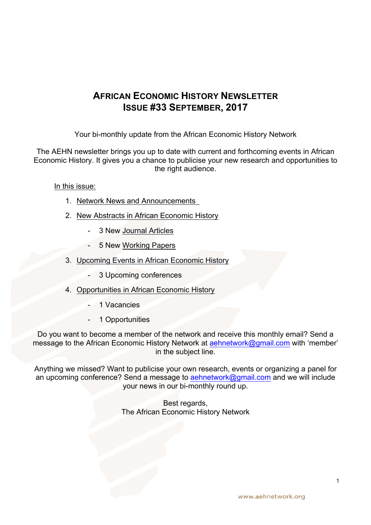# **AFRICAN ECONOMIC HISTORY NEWSLETTER ISSUE #33 SEPTEMBER, 2017**

Your bi-monthly update from the African Economic History Network

The AEHN newsletter brings you up to date with current and forthcoming events in African Economic History. It gives you a chance to publicise your new research and opportunities to the right audience.

In this issue:

- 1. Network News and Announcements
- 2. New Abstracts in African Economic History
	- 3 New Journal Articles
	- 5 New Working Papers
- 3. Upcoming Events in African Economic History
	- 3 Upcoming conferences
- 4. Opportunities in African Economic History
	- 1 Vacancies
	- 1 Opportunities

Do you want to become a member of the network and receive this monthly email? Send a message to the African Economic History Network at **aehnetwork@gmail.com** with 'member' in the subject line.

Anything we missed? Want to publicise your own research, events or organizing a panel for an upcoming conference? Send a message to aehnetwork@gmail.com and we will include your news in our bi-monthly round up.

> Best regards, The African Economic History Network

1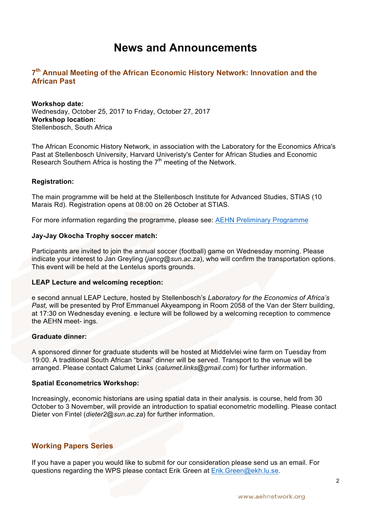# **News and Announcements**

## **7th Annual Meeting of the African Economic History Network: Innovation and the African Past**

#### **Workshop date:**

Wednesday, October 25, 2017 to Friday, October 27, 2017 **Workshop location:** Stellenbosch, South Africa

The African Economic History Network, in association with the Laboratory for the Economics Africa's Past at Stellenbosch University, Harvard Univeristy's Center for African Studies and Economic Research Southern Africa is hosting the  $7<sup>th</sup>$  meeting of the Network.

### **Registration:**

The main programme will be held at the Stellenbosch Institute for Advanced Studies, STIAS (10 Marais Rd). Registration opens at 08:00 on 26 October at STIAS.

For more information regarding the programme, please see: AEHN Preliminary Programme

### **Jay-Jay Okocha Trophy soccer match:**

Participants are invited to join the annual soccer (football) game on Wednesday morning. Please indicate your interest to Jan Greyling (*jancg@sun.ac.za*), who will confirm the transportation options. This event will be held at the Lentelus sports grounds.

#### **LEAP Lecture and welcoming reception:**

e second annual LEAP Lecture, hosted by Stellenbosch's *Laboratory for the Economics of Africa's Past,* will be presented by Prof Emmanuel Akyeampong in Room 2058 of the Van der Sterr building, at 17:30 on Wednesday evening. e lecture will be followed by a welcoming reception to commence the AEHN meet- ings.

### **Graduate dinner:**

A sponsored dinner for graduate students will be hosted at Middelvlei wine farm on Tuesday from 19:00. A traditional South African "braai" dinner will be served. Transport to the venue will be arranged. Please contact Calumet Links (*calumet.links@gmail.com*) for further information.

#### **Spatial Econometrics Workshop:**

Increasingly, economic historians are using spatial data in their analysis. is course, held from 30 October to 3 November, will provide an introduction to spatial econometric modelling. Please contact Dieter von Fintel (*dieter2@sun.ac.za*) for further information.

### **Working Papers Series**

If you have a paper you would like to submit for our consideration please send us an email. For questions regarding the WPS please contact Erik Green at Erik.Green@ekh.lu.se.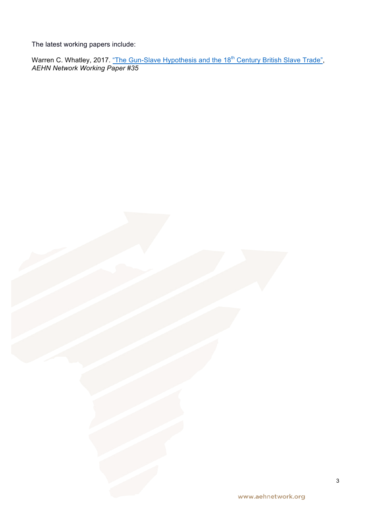The latest working papers include:

Warren C. Whatley, 2017. <u>"The Gun-Slave Hypothesis and the 18<sup>th</sup> Century British Slave Trade"</u>, *AEHN Network Working Paper #35*

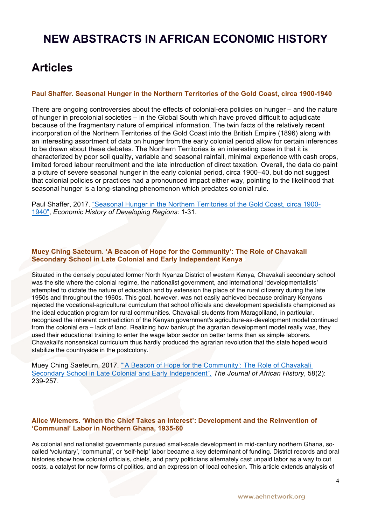# **NEW ABSTRACTS IN AFRICAN ECONOMIC HISTORY**

# **Articles**

### **Paul Shaffer. Seasonal Hunger in the Northern Territories of the Gold Coast, circa 1900-1940**

There are ongoing controversies about the effects of colonial-era policies on hunger – and the nature of hunger in precolonial societies – in the Global South which have proved difficult to adjudicate because of the fragmentary nature of empirical information. The twin facts of the relatively recent incorporation of the Northern Territories of the Gold Coast into the British Empire (1896) along with an interesting assortment of data on hunger from the early colonial period allow for certain inferences to be drawn about these debates. The Northern Territories is an interesting case in that it is characterized by poor soil quality, variable and seasonal rainfall, minimal experience with cash crops, limited forced labour recruitment and the late introduction of direct taxation. Overall, the data do paint a picture of severe seasonal hunger in the early colonial period, circa 1900–40, but do not suggest that colonial policies or practices had a pronounced impact either way, pointing to the likelihood that seasonal hunger is a long-standing phenomenon which predates colonial rule.

Paul Shaffer, 2017. "Seasonal Hunger in the Northern Territories of the Gold Coast, circa 1900- 1940", *Economic History of Developing Regions*: 1-31.

### **Muey Ching Saeteurn. 'A Beacon of Hope for the Community': The Role of Chavakali Secondary School in Late Colonial and Early Independent Kenya**

Situated in the densely populated former North Nyanza District of western Kenya, Chavakali secondary school was the site where the colonial regime, the nationalist government, and international 'developmentalists' attempted to dictate the nature of education and by extension the place of the rural citizenry during the late 1950s and throughout the 1960s. This goal, however, was not easily achieved because ordinary Kenyans rejected the vocational-agricultural curriculum that school officials and development specialists championed as the ideal education program for rural communities. Chavakali students from Maragoliland, in particular, recognized the inherent contradiction of the Kenyan government's agriculture-as-development model continued from the colonial era – lack of land. Realizing how bankrupt the agrarian development model really was, they used their educational training to enter the wage labor sector on better terms than as simple laborers. Chavakali's nonsensical curriculum thus hardly produced the agrarian revolution that the state hoped would stabilize the countryside in the postcolony.

Muey Ching Saeteurn, 2017. "'A Beacon of Hope for the Community': The Role of Chavakali Secondary School in Late Colonial and Early Independent"*, The Journal of African History*, 58(2): 239-257.

### **Alice Wiemers. 'When the Chief Takes an Interest': Development and the Reinvention of 'Communal' Labor in Northern Ghana, 1935-60**

As colonial and nationalist governments pursued small-scale development in mid-century northern Ghana, socalled 'voluntary', 'communal', or 'self-help' labor became a key determinant of funding. District records and oral histories show how colonial officials, chiefs, and party politicians alternately cast unpaid labor as a way to cut costs, a catalyst for new forms of politics, and an expression of local cohesion. This article extends analysis of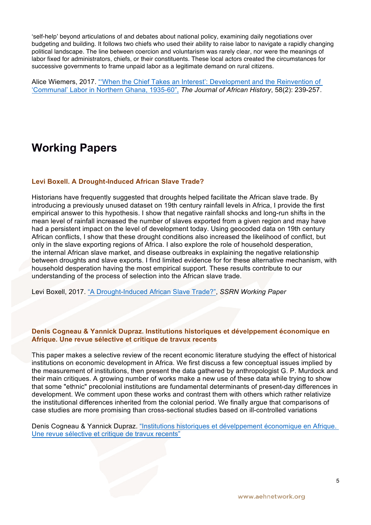'self-help' beyond articulations of and debates about national policy, examining daily negotiations over budgeting and building. It follows two chiefs who used their ability to raise labor to navigate a rapidly changing political landscape. The line between coercion and voluntarism was rarely clear, nor were the meanings of labor fixed for administrators, chiefs, or their constituents. These local actors created the circumstances for successive governments to frame unpaid labor as a legitimate demand on rural citizens.

Alice Wiemers, 2017. "'When the Chief Takes an Interest': Development and the Reinvention of 'Communal' Labor in Northern Ghana, 1935-60", *The Journal of African History*, 58(2): 239-257.

# **Working Papers**

### **Levi Boxell. A Drought-Induced African Slave Trade?**

Historians have frequently suggested that droughts helped facilitate the African slave trade. By introducing a previously unused dataset on 19th century rainfall levels in Africa, I provide the first empirical answer to this hypothesis. I show that negative rainfall shocks and long-run shifts in the mean level of rainfall increased the number of slaves exported from a given region and may have had a persistent impact on the level of development today. Using geocoded data on 19th century African conflicts, I show that these drought conditions also increased the likelihood of conflict, but only in the slave exporting regions of Africa. I also explore the role of household desperation, the internal African slave market, and disease outbreaks in explaining the negative relationship between droughts and slave exports. I find limited evidence for for these alternative mechanism, with household desperation having the most empirical support. These results contribute to our understanding of the process of selection into the African slave trade.

Levi Boxell, 2017. "A Drought-Induced African Slave Trade?", *SSRN Working Paper*

### **Denis Cogneau & Yannick Dupraz. Institutions historiques et dévelppement économique en Afrique. Une revue sélective et critique de travux recents**

This paper makes a selective review of the recent economic literature studying the effect of historical institutions on economic development in Africa. We first discuss a few conceptual issues implied by the measurement of institutions, then present the data gathered by anthropologist G. P. Murdock and their main critiques. A growing number of works make a new use of these data while trying to show that some "ethnic" precolonial institutions are fundamental determinants of present-day differences in development. We comment upon these works and contrast them with others which rather relativize the institutional differences inherited from the colonial period. We finally argue that comparisons of case studies are more promising than cross-sectional studies based on ill-controlled variations

Denis Cogneau & Yannick Dupraz. "Institutions historiques et dévelppement économique en Afrique. Une revue sélective et critique de travux recents"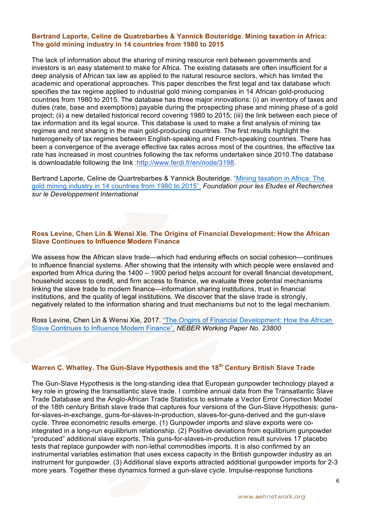### **Bertrand Laporte, Celine de Quatrebarbes & Yannick Bouteridge. Mining taxation in Africa: The gold mining industry in 14 countries from 1980 to 2015**

The lack of information about the sharing of mining resource rent between governments and investors is an easy statement to make for Africa. The existing datasets are often insufficient for a deep analysis of African tax law as applied to the natural resource sectors, which has limited the academic and operational approaches. This paper describes the first legal and tax database which specifies the tax regime applied to industrial gold mining companies in 14 African gold-producing countries from 1980 to 2015. The database has three major innovations: (i) an inventory of taxes and duties (rate, base and exemptions) payable during the prospecting phase and mining phase of a gold project; (ii) a new detailed historical record covering 1980 to 2015; (iii) the link between each piece of tax information and its legal source. This database is used to make a first analysis of mining tax regimes and rent sharing in the main gold-producing countries. The first results highlight the heterogeneity of tax regimes between English-speaking and French-speaking countries. There has been a convergence of the average effective tax rates across most of the countries, the effective tax rate has increased in most countries following the tax reforms undertaken since 2010.The database is downloadable following the link :http://www.ferdi.fr/en/node/3198.

Bertrand Laporte, Celine de Quartrebarbes & Yannick Bouteridge. "Mining taxation in Africa: The gold mining industry in 14 countries from 1980 to 2015", *Foundation pour les Etudes et Recherches sur le Developpement International* 

### **Ross Levine, Chen Lin & Wensi Xie. The Origins of Financial Development: How the African Slave Continues to Influence Modern Finance**

We assess how the African slave trade—which had enduring effects on social cohesion—continues to influence financial systems. After showing that the intensity with which people were enslaved and exported from Africa during the 1400 – 1900 period helps account for overall financial development, household access to credit, and firm access to finance, we evaluate three potential mechanisms linking the slave trade to modern finance—information sharing institutions, trust in financial institutions, and the quality of legal institutions. We discover that the slave trade is strongly, negatively related to the information sharing and trust mechanisms but not to the legal mechanism.

Ross Levine, Chen Lin & Wensi Xie, 2017. "The Origins of Financial Development: How the African Slave Continues to Influence Modern Finance", *NEBER Working Paper No. 23800*

## **Warren C. Whatley. The Gun-Slave Hypothesis and the 18th Century British Slave Trade**

The Gun-Slave Hypothesis is the long-standing idea that European gunpowder technology played a key role in growing the transatlantic slave trade. I combine annual data from the Transatlantic Slave Trade Database and the Anglo-African Trade Statistics to estimate a Vector Error Correction Model of the 18th century British slave trade that captures four versions of the Gun-Slave Hypothesis: gunsfor-slaves-in-exchange, guns-for-slaves-in-production, slaves-for-guns-derived and the gun-slave cycle. Three econometric results emerge. (1) Gunpowder imports and slave exports were cointegrated in a long-run equilibrium relationship. (2) Positive deviations from equilibrium gunpowder "produced" additional slave exports. This guns-for-slaves-in-production result survives 17 placebo tests that replace gunpowder with non-lethal commodities imports. It is also confirmed by an instrumental variables estimation that uses excess capacity in the British gunpowder industry as an instrument for gunpowder. (3) Additional slave exports attracted additional gunpowder imports for 2-3 more years. Together these dynamics formed a gun-slave cycle. Impulse-response functions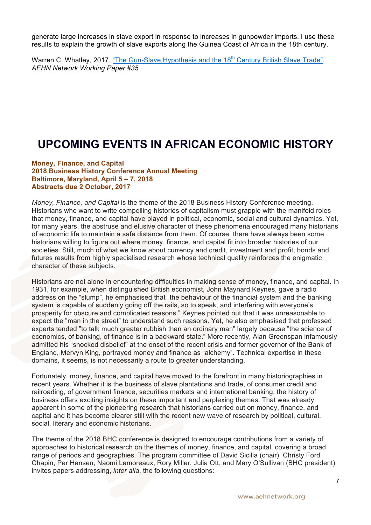generate large increases in slave export in response to increases in gunpowder imports. I use these results to explain the growth of slave exports along the Guinea Coast of Africa in the 18th century.

Warren C. Whatley, 2017. "The Gun-Slave Hypothesis and the 18<sup>th</sup> Century British Slave Trade". *AEHN Network Working Paper #35*

# **UPCOMING EVENTS IN AFRICAN ECONOMIC HISTORY**

**Money, Finance, and Capital 2018 Business History Conference Annual Meeting Baltimore, Maryland, April 5 – 7, 2018 Abstracts due 2 October, 2017** 

*Money, Finance, and Capital* is the theme of the 2018 Business History Conference meeting. Historians who want to write compelling histories of capitalism must grapple with the manifold roles that money, finance, and capital have played in political, economic, social and cultural dynamics. Yet, for many years, the abstruse and elusive character of these phenomena encouraged many historians of economic life to maintain a safe distance from them. Of course, there have always been some historians willing to figure out where money, finance, and capital fit into broader histories of our societies. Still, much of what we know about currency and credit, investment and profit, bonds and futures results from highly specialised research whose technical quality reinforces the enigmatic character of these subjects.

Historians are not alone in encountering difficulties in making sense of money, finance, and capital. In 1931, for example, when distinguished British economist, John Maynard Keynes, gave a radio address on the "slump", he emphasised that "the behaviour of the financial system and the banking system is capable of suddenly going off the rails, so to speak, and interfering with everyone's prosperity for obscure and complicated reasons." Keynes pointed out that it was unreasonable to expect the "man in the street" to understand such reasons. Yet, he also emphasised that professed experts tended "to talk much greater rubbish than an ordinary man" largely because "the science of economics, of banking, of finance is in a backward state." More recently, Alan Greenspan infamously admitted his "shocked disbelief" at the onset of the recent crisis and former governor of the Bank of England, Mervyn King, portrayed money and finance as "alchemy". Technical expertise in these domains, it seems, is not necessarily a route to greater understanding.

Fortunately, money, finance, and capital have moved to the forefront in many historiographies in recent years. Whether it is the business of slave plantations and trade, of consumer credit and railroading, of government finance, securities markets and international banking, the history of business offers exciting insights on these important and perplexing themes. That was already apparent in some of the pioneering research that historians carried out on money, finance, and capital and it has become clearer still with the recent new wave of research by political, cultural, social, literary and economic historians.

The theme of the 2018 BHC conference is designed to encourage contributions from a variety of approaches to historical research on the themes of money, finance, and capital, covering a broad range of periods and geographies. The program committee of David Sicilia (chair), Christy Ford Chapin, Per Hansen, Naomi Lamoreaux, Rory Miller, Julia Ott, and Mary O'Sullivan (BHC president) invites papers addressing, *inter alia*, the following questions: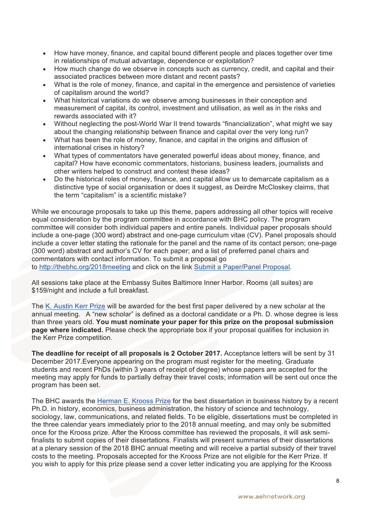- How have money, finance, and capital bound different people and places together over time in relationships of mutual advantage, dependence or exploitation?
- How much change do we observe in concepts such as currency, credit, and capital and their associated practices between more distant and recent pasts?
- What is the role of money, finance, and capital in the emergence and persistence of varieties of capitalism around the world?
- What historical variations do we observe among businesses in their conception and measurement of capital, its control, investment and utilisation, as well as in the risks and rewards associated with it?
- Without neglecting the post-World War II trend towards "financialization", what might we say about the changing relationship between finance and capital over the very long run?
- What has been the role of money, finance, and capital in the origins and diffusion of international crises in history?
- What types of commentators have generated powerful ideas about money, finance, and capital? How have economic commentators, historians, business leaders, journalists and other writers helped to construct and contest these ideas?
- Do the historical roles of money, finance, and capital allow us to demarcate capitalism as a distinctive type of social organisation or does it suggest, as Deirdre McCloskey claims, that the term "capitalism" is a scientific mistake?

While we encourage proposals to take up this theme, papers addressing all other topics will receive equal consideration by the program committee in accordance with BHC policy. The program committee will consider both individual papers and entire panels. Individual paper proposals should include a one-page (300 word) abstract and one-page curriculum vitae (CV). Panel proposals should include a cover letter stating the rationale for the panel and the name of its contact person; one-page (300 word) abstract and author's CV for each paper; and a list of preferred panel chairs and commentators with contact information. To submit a proposal go to http://thebhc.org/2018meeting and click on the link Submit a Paper/Panel Proposal.

All sessions take place at the Embassy Suites Baltimore Inner Harbor. Rooms (all suites) are \$159/night and include a full breakfast.

The K. Austin Kerr Prize will be awarded for the best first paper delivered by a new scholar at the annual meeting. A "new scholar" is defined as a doctoral candidate or a Ph. D. whose degree is less than three years old. **You must nominate your paper for this prize on the proposal submission page where indicated.** Please check the appropriate box if your proposal qualifies for inclusion in the Kerr Prize competition.

**The deadline for receipt of all proposals is 2 October 2017.** Acceptance letters will be sent by 31 December 2017.Everyone appearing on the program must register for the meeting. Graduate students and recent PhDs (within 3 years of receipt of degree) whose papers are accepted for the meeting may apply for funds to partially defray their travel costs; information will be sent out once the program has been set.

The BHC awards the Herman E. Krooss Prize for the best dissertation in business history by a recent Ph.D. in history, economics, business administration, the history of science and technology, sociology, law, communications, and related fields. To be eligible, dissertations must be completed in the three calendar years immediately prior to the 2018 annual meeting, and may only be submitted once for the Krooss prize. After the Krooss committee has reviewed the proposals, it will ask semifinalists to submit copies of their dissertations. Finalists will present summaries of their dissertations at a plenary session of the 2018 BHC annual meeting and will receive a partial subsidy of their travel costs to the meeting. Proposals accepted for the Krooss Prize are not eligible for the Kerr Prize. If you wish to apply for this prize please send a cover letter indicating you are applying for the Krooss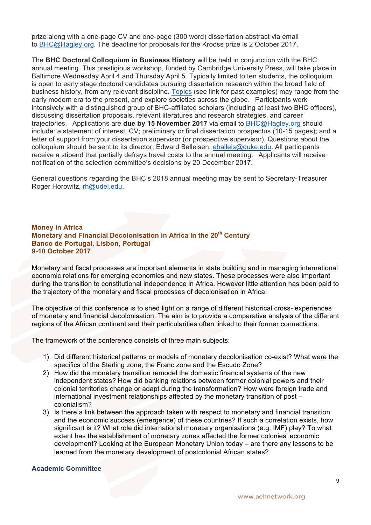prize along with a one-page CV and one-page (300 word) dissertation abstract via email to BHC@Hagley.org. The deadline for proposals for the Krooss prize is 2 October 2017.

The **BHC Doctoral Colloquium in Business History** will be held in conjunction with the BHC annual meeting. This prestigious workshop, funded by Cambridge University Press, will take place in Baltimore Wednesday April 4 and Thursday April 5. Typically limited to ten students, the colloquium is open to early stage doctoral candidates pursuing dissertation research within the broad field of business history, from any relevant discipline. Topics (see link for past examples) may range from the early modern era to the present, and explore societies across the globe. Participants work intensively with a distinguished group of BHC-affiliated scholars (including at least two BHC officers), discussing dissertation proposals, relevant literatures and research strategies, and career trajectories. Applications are **due by 15 November 2017** via email to BHC@Hagley.org should include: a statement of interest; CV; preliminary or final dissertation prospectus (10-15 pages); and a letter of support from your dissertation supervisor (or prospective supervisor). Questions about the colloquium should be sent to its director, Edward Balleisen, eballeis@duke.edu. All participants receive a stipend that partially defrays travel costs to the annual meeting. Applicants will receive notification of the selection committee's decisions by 20 December 2017.

General questions regarding the BHC's 2018 annual meeting may be sent to Secretary-Treasurer Roger Horowitz, rh@udel.edu.

### **Money in Africa Monetary and Financial Decolonisation in Africa in the 20<sup>th</sup> Century Banco de Portugal, Lisbon, Portugal 9-10 October 2017**

Monetary and fiscal processes are important elements in state building and in managing international economic relations for emerging economies and new states. These processes were also important during the transition to constitutional independence in Africa. However little attention has been paid to the trajectory of the monetary and fiscal processes of decolonisation in Africa.

The objective of this conference is to shed light on a range of different historical cross- experiences of monetary and financial decolonisation. The aim is to provide a comparative analysis of the different regions of the African continent and their particularities often linked to their former connections.

The framework of the conference consists of three main subjects:

- 1) Did different historical patterns or models of monetary decolonisation co-exist? What were the specifics of the Sterling zone, the Franc zone and the Escudo Zone?
- 2) How did the monetary transition remodel the domestic financial systems of the new independent states? How did banking relations between former colonial powers and their colonial territories change or adapt during the transformation? How were foreign trade and international investment relationships affected by the monetary transition of post – colonialism?
- 3) Is there a link between the approach taken with respect to monetary and financial transition and the economic success (emergence) of these countries? If such a correlation exists, how significant is it? What role did international monetary organisations (e.g. IMF) play? To what extent has the establishment of monetary zones affected the former colonies' economic development? Looking at the European Monetary Union today – are there any lessons to be learned from the monetary development of postcolonial African states?

## **Academic Committee**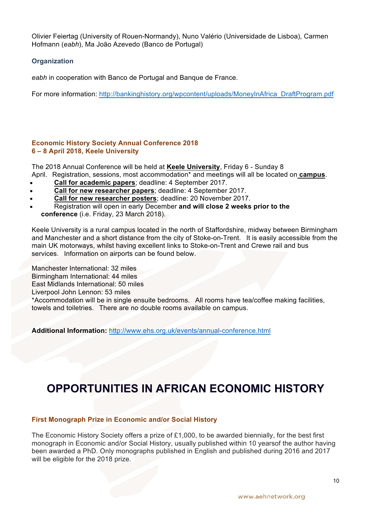Olivier Feiertag (University of Rouen-Normandy), Nuno Valério (Universidade de Lisboa), Carmen Hofmann (*eabh*), Ma João Azevedo (Banco de Portugal)

## **Organization**

*eabh* in cooperation with Banco de Portugal and Banque de France.

For more information: http://bankinghistory.org/wpcontent/uploads/MoneyInAfrica\_DraftProgram.pdf

### **Economic History Society Annual Conference 2018 6 – 8 April 2018, Keele University**

The 2018 Annual Conference will be held at **Keele University**, Friday 6 - Sunday 8 April. Registration, sessions, most accommodation\* and meetings will all be located on **campus**.

- **Call for academic papers**; deadline: 4 September 2017.
- **Call for new researcher papers**; deadline: 4 September 2017.
- **Call for new researcher posters**; deadline: 20 November 2017.
- Registration will open in early December **and will close 2 weeks prior to the conference** (i.e. Friday, 23 March 2018).

Keele University is a rural campus located in the north of Staffordshire, midway between Birmingham and Manchester and a short distance from the city of Stoke-on-Trent. It is easily accessible from the main UK motorways, whilst having excellent links to Stoke-on-Trent and Crewe rail and bus services. Information on airports can be found below.

Manchester International: 32 miles Birmingham International: 44 miles East Midlands International: 50 miles Liverpool John Lennon: 53 miles

\*Accommodation will be in single ensuite bedrooms. All rooms have tea/coffee making facilities, towels and toiletries. There are no double rooms available on campus.

**Additional Information:** http://www.ehs.org.uk/events/annual-conference.html

# **OPPORTUNITIES IN AFRICAN ECONOMIC HISTORY**

### **First Monograph Prize in Economic and/or Social History**

The Economic History Society offers a prize of £1,000, to be awarded biennially, for the best first monograph in Economic and/or Social History, usually published within 10 yearsof the author having been awarded a PhD. Only monographs published in English and published during 2016 and 2017 will be eligible for the 2018 prize.